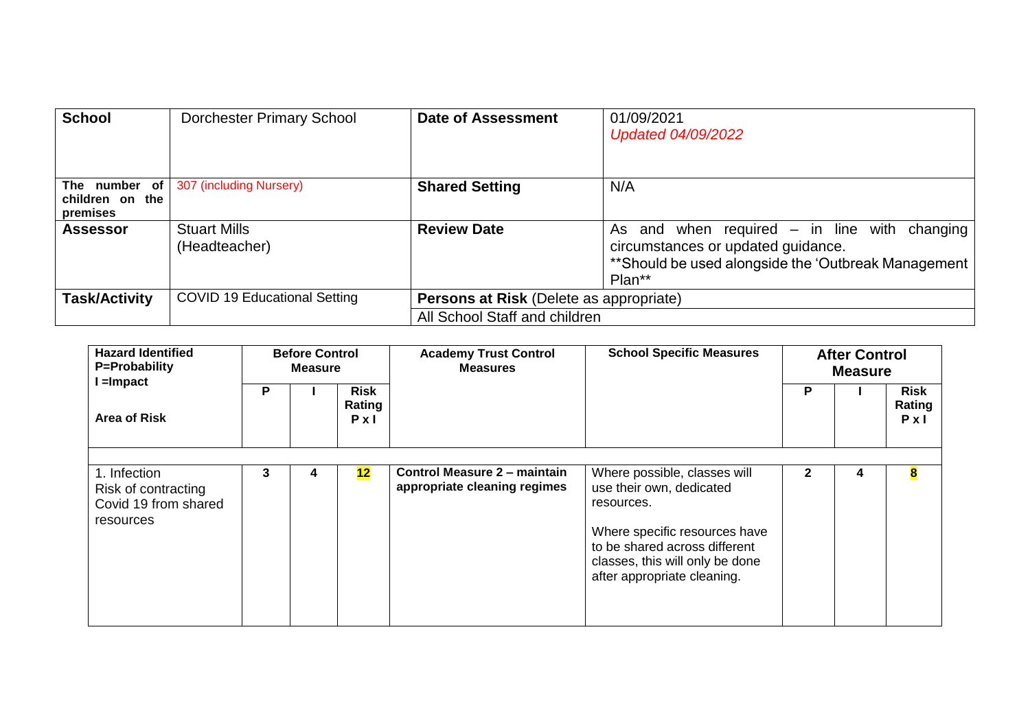| <b>School</b>                                | <b>Dorchester Primary School</b>     | <b>Date of Assessment</b>               | 01/09/2021<br>Updated 04/09/2022                                                                                                                         |
|----------------------------------------------|--------------------------------------|-----------------------------------------|----------------------------------------------------------------------------------------------------------------------------------------------------------|
| The number of<br>children on the<br>premises | 307 (including Nursery)              | <b>Shared Setting</b>                   | N/A                                                                                                                                                      |
| <b>Assessor</b>                              | <b>Stuart Mills</b><br>(Headteacher) | <b>Review Date</b>                      | As and when required $-$ in line with<br>changing<br>circumstances or updated guidance.<br>**Should be used alongside the 'Outbreak Management<br>Plan** |
| <b>Task/Activity</b>                         | <b>COVID 19 Educational Setting</b>  | Persons at Risk (Delete as appropriate) |                                                                                                                                                          |
|                                              |                                      | All School Staff and children           |                                                                                                                                                          |

| <b>Hazard Identified</b><br>P=Probability                                | <b>Before Control</b><br><b>Measure</b> |  |                                       | <b>Academy Trust Control</b><br><b>Measures</b>                     | <b>School Specific Measures</b>                                                                                                                                                                            | <b>After Control</b><br><b>Measure</b> |   |                                |
|--------------------------------------------------------------------------|-----------------------------------------|--|---------------------------------------|---------------------------------------------------------------------|------------------------------------------------------------------------------------------------------------------------------------------------------------------------------------------------------------|----------------------------------------|---|--------------------------------|
| $l =$ Impact<br>Area of Risk                                             | P                                       |  | <b>Risk</b><br>Rating<br>$P \times I$ |                                                                     |                                                                                                                                                                                                            | Р                                      |   | Risk<br>Rating<br>$P \times I$ |
| 1. Infection<br>Risk of contracting<br>Covid 19 from shared<br>resources | 3                                       |  | 12                                    | <b>Control Measure 2 – maintain</b><br>appropriate cleaning regimes | Where possible, classes will<br>use their own, dedicated<br>resources.<br>Where specific resources have<br>to be shared across different<br>classes, this will only be done<br>after appropriate cleaning. | 2                                      | 4 | 8                              |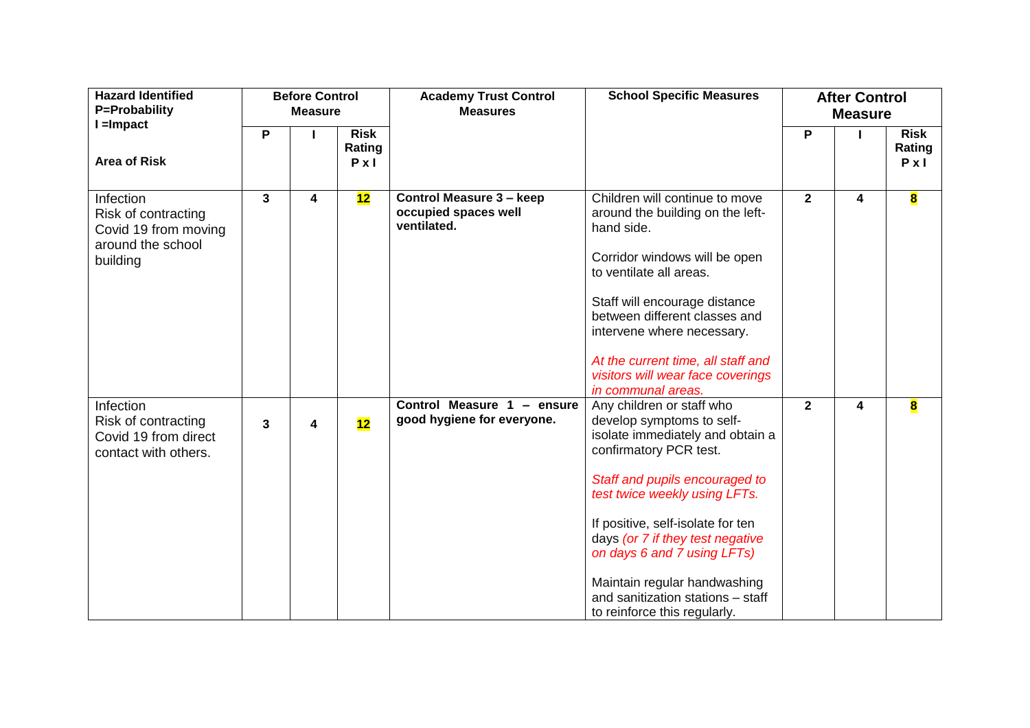| <b>Hazard Identified</b><br>P=Probability                                                 |              | <b>Before Control</b><br><b>Measure</b> |                                       | <b>Academy Trust Control</b><br><b>Measures</b>                        | <b>School Specific Measures</b>                                                                                                                                                                                                                                                                                                                                                                      |                | <b>After Control</b><br><b>Measure</b> |                                       |
|-------------------------------------------------------------------------------------------|--------------|-----------------------------------------|---------------------------------------|------------------------------------------------------------------------|------------------------------------------------------------------------------------------------------------------------------------------------------------------------------------------------------------------------------------------------------------------------------------------------------------------------------------------------------------------------------------------------------|----------------|----------------------------------------|---------------------------------------|
| $I =$ Impact<br><b>Area of Risk</b>                                                       | P            |                                         | <b>Risk</b><br>Rating<br>$P \times I$ |                                                                        |                                                                                                                                                                                                                                                                                                                                                                                                      | P              |                                        | <b>Risk</b><br>Rating<br>$P \times I$ |
| Infection<br>Risk of contracting<br>Covid 19 from moving<br>around the school<br>building | $\mathbf{3}$ | 4                                       | 12                                    | <b>Control Measure 3 - keep</b><br>occupied spaces well<br>ventilated. | Children will continue to move<br>around the building on the left-<br>hand side.<br>Corridor windows will be open<br>to ventilate all areas.<br>Staff will encourage distance<br>between different classes and<br>intervene where necessary.<br>At the current time, all staff and<br>visitors will wear face coverings<br>in communal areas.                                                        | $\overline{2}$ | 4                                      | $\overline{\mathbf{8}}$               |
| Infection<br>Risk of contracting<br>Covid 19 from direct<br>contact with others.          | 3            | 4                                       | 12                                    | Control Measure 1 - ensure<br>good hygiene for everyone.               | Any children or staff who<br>develop symptoms to self-<br>isolate immediately and obtain a<br>confirmatory PCR test.<br>Staff and pupils encouraged to<br>test twice weekly using LFTs.<br>If positive, self-isolate for ten<br>days (or 7 if they test negative<br>on days 6 and 7 using LFTs)<br>Maintain regular handwashing<br>and sanitization stations - staff<br>to reinforce this regularly. | $\mathbf{2}$   | 4                                      | $\overline{\mathbf{8}}$               |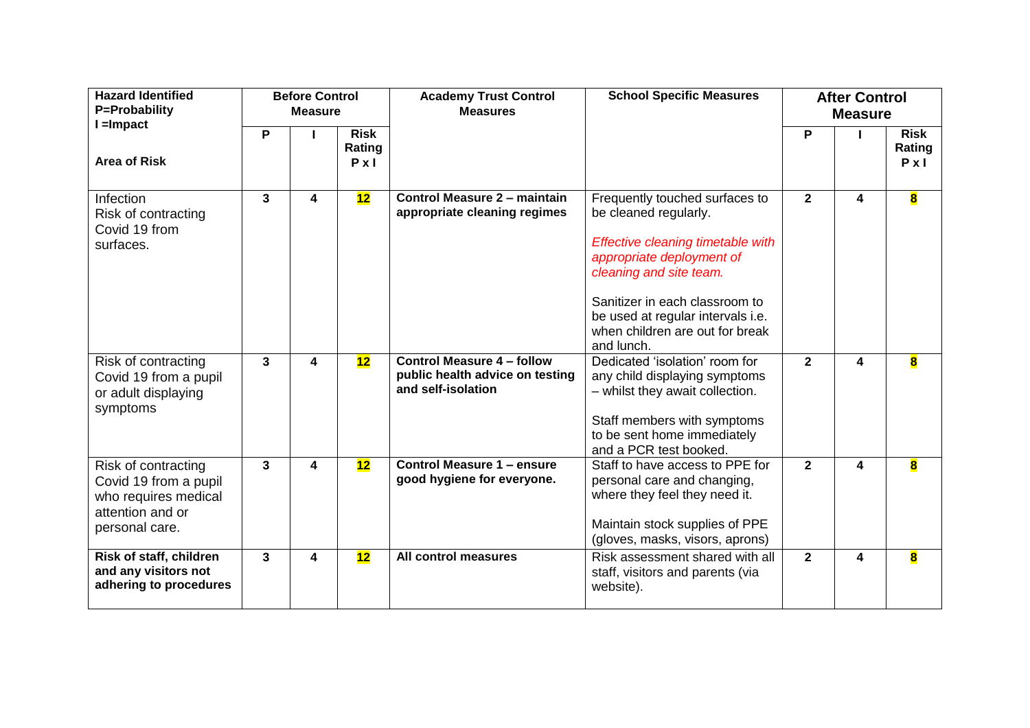| <b>Hazard Identified</b><br>P=Probability<br>$l =$ Impact                                                  |   | <b>Before Control</b><br><b>Measure</b> |                                       | <b>Academy Trust Control</b><br><b>Measures</b>                                            | <b>School Specific Measures</b>                                                                                                                                                                                                                                              |                | <b>After Control</b><br><b>Measure</b> |                                       |
|------------------------------------------------------------------------------------------------------------|---|-----------------------------------------|---------------------------------------|--------------------------------------------------------------------------------------------|------------------------------------------------------------------------------------------------------------------------------------------------------------------------------------------------------------------------------------------------------------------------------|----------------|----------------------------------------|---------------------------------------|
| <b>Area of Risk</b>                                                                                        | P |                                         | <b>Risk</b><br>Rating<br>$P \times I$ |                                                                                            |                                                                                                                                                                                                                                                                              | P              |                                        | <b>Risk</b><br>Rating<br>$P \times I$ |
| Infection<br>Risk of contracting<br>Covid 19 from<br>surfaces.                                             | 3 | 4                                       | 12                                    | <b>Control Measure 2 - maintain</b><br>appropriate cleaning regimes                        | Frequently touched surfaces to<br>be cleaned regularly.<br>Effective cleaning timetable with<br>appropriate deployment of<br>cleaning and site team.<br>Sanitizer in each classroom to<br>be used at regular intervals i.e.<br>when children are out for break<br>and lunch. | $\mathbf{2}$   | 4                                      | 8                                     |
| Risk of contracting<br>Covid 19 from a pupil<br>or adult displaying<br>symptoms                            | 3 | 4                                       | 12                                    | <b>Control Measure 4 - follow</b><br>public health advice on testing<br>and self-isolation | Dedicated 'isolation' room for<br>any child displaying symptoms<br>- whilst they await collection.<br>Staff members with symptoms<br>to be sent home immediately<br>and a PCR test booked.                                                                                   | $\mathbf{2}$   | $\overline{\mathbf{4}}$                | $\overline{\mathbf{8}}$               |
| Risk of contracting<br>Covid 19 from a pupil<br>who requires medical<br>attention and or<br>personal care. | 3 | 4                                       | 12                                    | <b>Control Measure 1 - ensure</b><br>good hygiene for everyone.                            | Staff to have access to PPE for<br>personal care and changing,<br>where they feel they need it.<br>Maintain stock supplies of PPE<br>(gloves, masks, visors, aprons)                                                                                                         | $\mathbf{2}$   | $\overline{\mathbf{4}}$                | $\overline{\mathbf{8}}$               |
| Risk of staff, children<br>and any visitors not<br>adhering to procedures                                  | 3 | 4                                       | 12                                    | All control measures                                                                       | Risk assessment shared with all<br>staff, visitors and parents (via<br>website).                                                                                                                                                                                             | $\overline{2}$ | 4                                      | $\overline{\mathbf{8}}$               |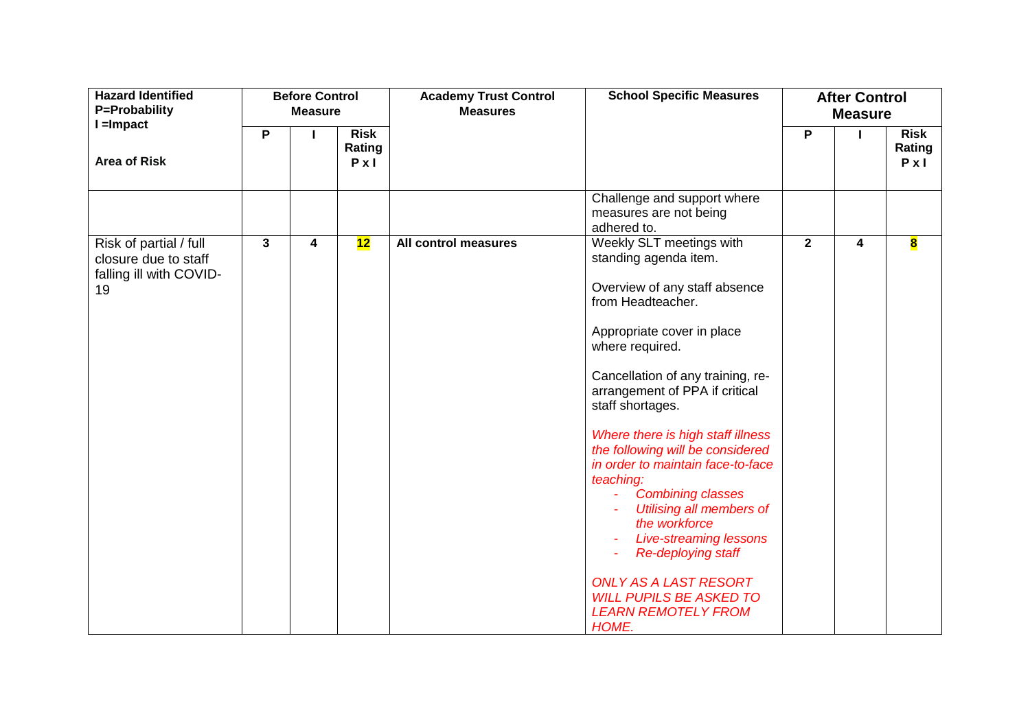| <b>Hazard Identified</b><br>P=Probability                                       |   | <b>Before Control</b><br><b>Measure</b> |                                       | <b>Academy Trust Control</b><br><b>Measures</b> | <b>School Specific Measures</b>                                                                                                                                                                                                                                                                                                                                                                                                                                                                                                                                                                                                       |              | <b>After Control</b><br><b>Measure</b> |                                       |
|---------------------------------------------------------------------------------|---|-----------------------------------------|---------------------------------------|-------------------------------------------------|---------------------------------------------------------------------------------------------------------------------------------------------------------------------------------------------------------------------------------------------------------------------------------------------------------------------------------------------------------------------------------------------------------------------------------------------------------------------------------------------------------------------------------------------------------------------------------------------------------------------------------------|--------------|----------------------------------------|---------------------------------------|
| $l =$ Impact<br><b>Area of Risk</b>                                             | P |                                         | <b>Risk</b><br>Rating<br>$P \times I$ |                                                 |                                                                                                                                                                                                                                                                                                                                                                                                                                                                                                                                                                                                                                       | P            | L                                      | <b>Risk</b><br>Rating<br>$P \times I$ |
|                                                                                 |   |                                         |                                       |                                                 | Challenge and support where<br>measures are not being<br>adhered to.                                                                                                                                                                                                                                                                                                                                                                                                                                                                                                                                                                  |              |                                        |                                       |
| Risk of partial / full<br>closure due to staff<br>falling ill with COVID-<br>19 | 3 | 4                                       | 12                                    | All control measures                            | Weekly SLT meetings with<br>standing agenda item.<br>Overview of any staff absence<br>from Headteacher.<br>Appropriate cover in place<br>where required.<br>Cancellation of any training, re-<br>arrangement of PPA if critical<br>staff shortages.<br>Where there is high staff illness<br>the following will be considered<br>in order to maintain face-to-face<br>teaching:<br><b>Combining classes</b><br><b>Utilising all members of</b><br>the workforce<br><b>Live-streaming lessons</b><br><b>Re-deploying staff</b><br><b>ONLY AS A LAST RESORT</b><br><b>WILL PUPILS BE ASKED TO</b><br><b>LEARN REMOTELY FROM</b><br>HOME. | $\mathbf{2}$ | 4                                      | $\overline{\mathbf{8}}$               |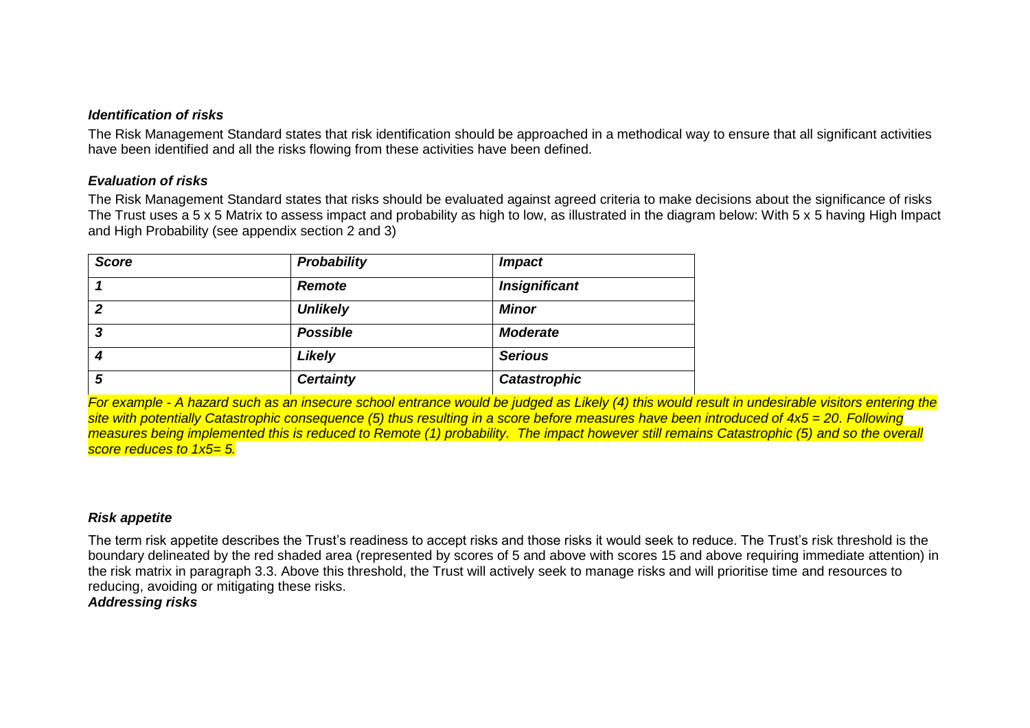## *Identification of risks*

The Risk Management Standard states that risk identification should be approached in a methodical way to ensure that all significant activities have been identified and all the risks flowing from these activities have been defined.

## *Evaluation of risks*

The Risk Management Standard states that risks should be evaluated against agreed criteria to make decisions about the significance of risks The Trust uses a 5 x 5 Matrix to assess impact and probability as high to low, as illustrated in the diagram below: With 5 x 5 having High Impact and High Probability (see appendix section 2 and 3)

| <b>Score</b>   | Probability      | <b>Impact</b>        |
|----------------|------------------|----------------------|
|                | <b>Remote</b>    | <b>Insignificant</b> |
| $\overline{2}$ | <b>Unlikely</b>  | <b>Minor</b>         |
| 3              | <b>Possible</b>  | <b>Moderate</b>      |
| 4              | Likely           | <b>Serious</b>       |
| 5              | <b>Certainty</b> | <b>Catastrophic</b>  |

*For example - A hazard such as an insecure school entrance would be judged as Likely (4) this would result in undesirable visitors entering the site with potentially Catastrophic consequence (5) thus resulting in a score before measures have been introduced of 4x5 = 20. Following measures being implemented this is reduced to Remote (1) probability. The impact however still remains Catastrophic (5) and so the overall score reduces to 1x5= 5.* 

## *Risk appetite*

The term risk appetite describes the Trust's readiness to accept risks and those risks it would seek to reduce. The Trust's risk threshold is the boundary delineated by the red shaded area (represented by scores of 5 and above with scores 15 and above requiring immediate attention) in the risk matrix in paragraph 3.3. Above this threshold, the Trust will actively seek to manage risks and will prioritise time and resources to reducing, avoiding or mitigating these risks. *Addressing risks*